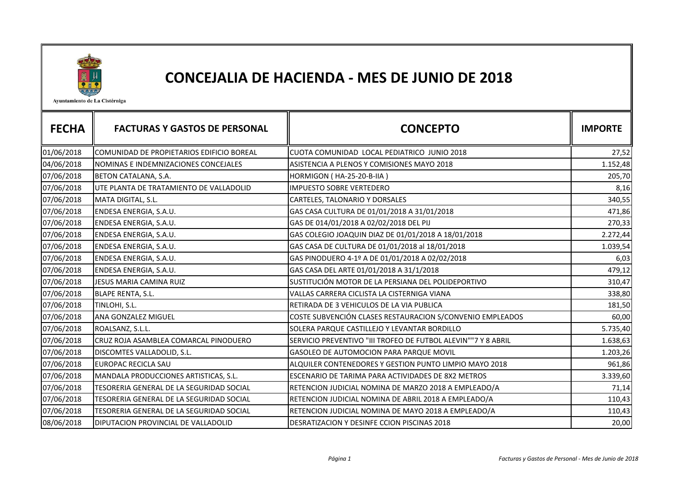

## CONCEJALIA DE HACIENDA - MES DE JUNIO DE 2018

Ayuntamiento de La Cistérniga

| <b>FECHA</b> | <b>FACTURAS Y GASTOS DE PERSONAL</b>      | <b>CONCEPTO</b>                                               | <b>IMPORTE</b> |
|--------------|-------------------------------------------|---------------------------------------------------------------|----------------|
|              |                                           |                                                               |                |
| 01/06/2018   | COMUNIDAD DE PROPIETARIOS EDIFICIO BOREAL | CUOTA COMUNIDAD LOCAL PEDIATRICO JUNIO 2018                   | 27,52          |
| 04/06/2018   | NOMINAS E INDEMNIZACIONES CONCEJALES      | ASISTENCIA A PLENOS Y COMISIONES MAYO 2018                    | 1.152,48       |
| 07/06/2018   | BETON CATALANA, S.A.                      | HORMIGON (HA-25-20-B-IIA)                                     | 205,70         |
| 07/06/2018   | UTE PLANTA DE TRATAMIENTO DE VALLADOLID   | <b>IMPUESTO SOBRE VERTEDERO</b>                               | 8,16           |
| 07/06/2018   | MATA DIGITAL, S.L.                        | CARTELES, TALONARIO Y DORSALES                                | 340,55         |
| 07/06/2018   | ENDESA ENERGIA, S.A.U.                    | GAS CASA CULTURA DE 01/01/2018 A 31/01/2018                   | 471,86         |
| 07/06/2018   | ENDESA ENERGIA, S.A.U.                    | GAS DE 014/01/2018 A 02/02/2018 DEL PIJ                       | 270,33         |
| 07/06/2018   | ENDESA ENERGIA, S.A.U.                    | GAS COLEGIO JOAQUIN DIAZ DE 01/01/2018 A 18/01/2018           | 2.272,44       |
| 07/06/2018   | ENDESA ENERGIA, S.A.U.                    | GAS CASA DE CULTURA DE 01/01/2018 al 18/01/2018               | 1.039,54       |
| 07/06/2018   | ENDESA ENERGIA, S.A.U.                    | GAS PINODUERO 4-1º A DE 01/01/2018 A 02/02/2018               | 6,03           |
| 07/06/2018   | ENDESA ENERGIA, S.A.U.                    | GAS CASA DEL ARTE 01/01/2018 A 31/1/2018                      | 479,12         |
| 07/06/2018   | JESUS MARIA CAMINA RUIZ                   | SUSTITUCIÓN MOTOR DE LA PERSIANA DEL POLIDEPORTIVO            | 310,47         |
| 07/06/2018   | <b>BLAPE RENTA, S.L.</b>                  | VALLAS CARRERA CICLISTA LA CISTERNIGA VIANA                   | 338,80         |
| 07/06/2018   | TINLOHI, S.L.                             | RETIRADA DE 3 VEHICULOS DE LA VIA PUBLICA                     | 181,50         |
| 07/06/2018   | ANA GONZALEZ MIGUEL                       | COSTE SUBVENCIÓN CLASES RESTAURACION S/CONVENIO EMPLEADOS     | 60,00          |
| 07/06/2018   | ROALSANZ, S.L.L.                          | SOLERA PARQUE CASTILLEJO Y LEVANTAR BORDILLO                  | 5.735,40       |
| 07/06/2018   | CRUZ ROJA ASAMBLEA COMARCAL PINODUERO     | SERVICIO PREVENTIVO "III TROFEO DE FUTBOL ALEVIN""7 Y 8 ABRIL | 1.638,63       |
| 07/06/2018   | DISCOMTES VALLADOLID, S.L.                | GASOLEO DE AUTOMOCION PARA PARQUE MOVIL                       | 1.203,26       |
| 07/06/2018   | <b>EUROPAC RECICLA SAU</b>                | ALQUILER CONTENEDORES Y GESTION PUNTO LIMPIO MAYO 2018        | 961,86         |
| 07/06/2018   | MANDALA PRODUCCIONES ARTISTICAS, S.L.     | ESCENARIO DE TARIMA PARA ACTIVIDADES DE 8X2 METROS            | 3.339,60       |
| 07/06/2018   | TESORERIA GENERAL DE LA SEGURIDAD SOCIAL  | RETENCION JUDICIAL NOMINA DE MARZO 2018 A EMPLEADO/A          | 71,14          |
| 07/06/2018   | TESORERIA GENERAL DE LA SEGURIDAD SOCIAL  | RETENCION JUDICIAL NOMINA DE ABRIL 2018 A EMPLEADO/A          | 110,43         |
| 07/06/2018   | TESORERIA GENERAL DE LA SEGURIDAD SOCIAL  | RETENCION JUDICIAL NOMINA DE MAYO 2018 A EMPLEADO/A           | 110,43         |
| 08/06/2018   | DIPUTACION PROVINCIAL DE VALLADOLID       | DESRATIZACION Y DESINFE CCION PISCINAS 2018                   | 20,00          |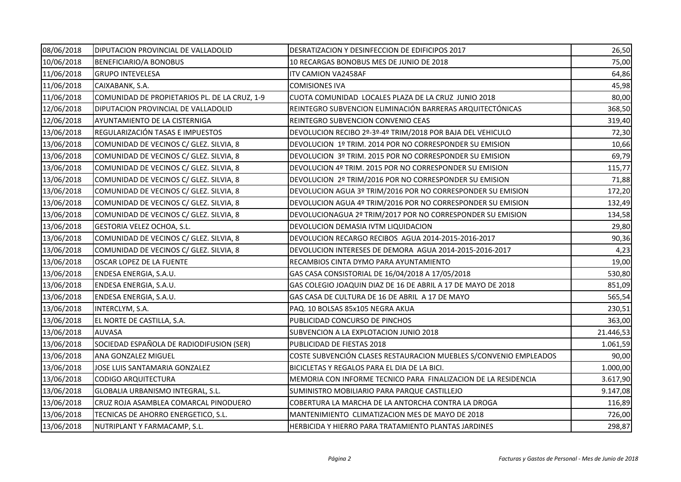| 08/06/2018 | DIPUTACION PROVINCIAL DE VALLADOLID           | DESRATIZACION Y DESINFECCION DE EDIFICIPOS 2017                   | 26,50     |
|------------|-----------------------------------------------|-------------------------------------------------------------------|-----------|
| 10/06/2018 | BENEFICIARIO/A BONOBUS                        | 10 RECARGAS BONOBUS MES DE JUNIO DE 2018                          | 75,00     |
| 11/06/2018 | <b>GRUPO INTEVELESA</b>                       | ITV CAMION VA2458AF                                               | 64,86     |
| 11/06/2018 | CAIXABANK, S.A.                               | <b>COMISIONES IVA</b>                                             | 45,98     |
| 11/06/2018 | COMUNIDAD DE PROPIETARIOS PL. DE LA CRUZ, 1-9 | CUOTA COMUNIDAD LOCALES PLAZA DE LA CRUZ JUNIO 2018               | 80,00     |
| 12/06/2018 | DIPUTACION PROVINCIAL DE VALLADOLID           | REINTEGRO SUBVENCION ELIMINACIÓN BARRERAS ARQUITECTÓNICAS         | 368,50    |
| 12/06/2018 | AYUNTAMIENTO DE LA CISTERNIGA                 | REINTEGRO SUBVENCION CONVENIO CEAS                                | 319,40    |
| 13/06/2018 | REGULARIZACIÓN TASAS E IMPUESTOS              | DEVOLUCION RECIBO 2º-3º-4º TRIM/2018 POR BAJA DEL VEHICULO        | 72,30     |
| 13/06/2018 | COMUNIDAD DE VECINOS C/ GLEZ. SILVIA, 8       | DEVOLUCION 1º TRIM. 2014 POR NO CORRESPONDER SU EMISION           | 10,66     |
| 13/06/2018 | COMUNIDAD DE VECINOS C/ GLEZ. SILVIA, 8       | DEVOLUCION 3º TRIM. 2015 POR NO CORRESPONDER SU EMISION           | 69,79     |
| 13/06/2018 | COMUNIDAD DE VECINOS C/ GLEZ. SILVIA, 8       | DEVOLUCION 4º TRIM. 2015 POR NO CORRESPONDER SU EMISION           | 115,77    |
| 13/06/2018 | COMUNIDAD DE VECINOS C/ GLEZ. SILVIA, 8       | DEVOLUCION 2º TRIM/2016 POR NO CORRESPONDER SU EMISION            | 71,88     |
| 13/06/2018 | COMUNIDAD DE VECINOS C/ GLEZ. SILVIA, 8       | DEVOLUCION AGUA 3º TRIM/2016 POR NO CORRESPONDER SU EMISION       | 172,20    |
| 13/06/2018 | COMUNIDAD DE VECINOS C/ GLEZ. SILVIA, 8       | DEVOLUCION AGUA 4º TRIM/2016 POR NO CORRESPONDER SU EMISION       | 132,49    |
| 13/06/2018 | COMUNIDAD DE VECINOS C/ GLEZ. SILVIA, 8       | DEVOLUCIONAGUA 2º TRIM/2017 POR NO CORRESPONDER SU EMISION        | 134,58    |
| 13/06/2018 | GESTORIA VELEZ OCHOA, S.L.                    | DEVOLUCION DEMASIA IVTM LIQUIDACION                               | 29,80     |
| 13/06/2018 | COMUNIDAD DE VECINOS C/ GLEZ. SILVIA, 8       | DEVOLUCION RECARGO RECIBOS AGUA 2014-2015-2016-2017               | 90,36     |
| 13/06/2018 | COMUNIDAD DE VECINOS C/ GLEZ. SILVIA, 8       | DEVOLUCION INTERESES DE DEMORA AGUA 2014-2015-2016-2017           | 4,23      |
| 13/06/2018 | OSCAR LOPEZ DE LA FUENTE                      | RECAMBIOS CINTA DYMO PARA AYUNTAMIENTO                            | 19,00     |
| 13/06/2018 | ENDESA ENERGIA, S.A.U.                        | GAS CASA CONSISTORIAL DE 16/04/2018 A 17/05/2018                  | 530,80    |
| 13/06/2018 | ENDESA ENERGIA, S.A.U.                        | GAS COLEGIO JOAQUIN DIAZ DE 16 DE ABRIL A 17 DE MAYO DE 2018      | 851,09    |
| 13/06/2018 | ENDESA ENERGIA, S.A.U.                        | GAS CASA DE CULTURA DE 16 DE ABRIL A 17 DE MAYO                   | 565,54    |
| 13/06/2018 | INTERCLYM, S.A.                               | PAQ. 10 BOLSAS 85x105 NEGRA AKUA                                  | 230,51    |
| 13/06/2018 | EL NORTE DE CASTILLA, S.A.                    | PUBLICIDAD CONCURSO DE PINCHOS                                    | 363,00    |
| 13/06/2018 | AUVASA                                        | SUBVENCION A LA EXPLOTACION JUNIO 2018                            | 21.446,53 |
| 13/06/2018 | SOCIEDAD ESPAÑOLA DE RADIODIFUSION (SER)      | PUBLICIDAD DE FIESTAS 2018                                        | 1.061,59  |
| 13/06/2018 | ANA GONZALEZ MIGUEL                           | COSTE SUBVENCIÓN CLASES RESTAURACION MUEBLES S/CONVENIO EMPLEADOS | 90,00     |
| 13/06/2018 | JOSE LUIS SANTAMARIA GONZALEZ                 | BICICLETAS Y REGALOS PARA EL DIA DE LA BICI.                      | 1.000,00  |
| 13/06/2018 | <b>CODIGO ARQUITECTURA</b>                    | MEMORIA CON INFORME TECNICO PARA FINALIZACION DE LA RESIDENCIA    | 3.617,90  |
| 13/06/2018 | GLOBALIA URBANISMO INTEGRAL, S.L.             | SUMINISTRO MOBILIARIO PARA PARQUE CASTILLEJO                      | 9.147,08  |
| 13/06/2018 | CRUZ ROJA ASAMBLEA COMARCAL PINODUERO         | COBERTURA LA MARCHA DE LA ANTORCHA CONTRA LA DROGA                | 116,89    |
| 13/06/2018 | TECNICAS DE AHORRO ENERGETICO, S.L.           | MANTENIMIENTO CLIMATIZACION MES DE MAYO DE 2018                   | 726,00    |
| 13/06/2018 | NUTRIPLANT Y FARMACAMP, S.L.                  | HERBICIDA Y HIERRO PARA TRATAMIENTO PLANTAS JARDINES              | 298,87    |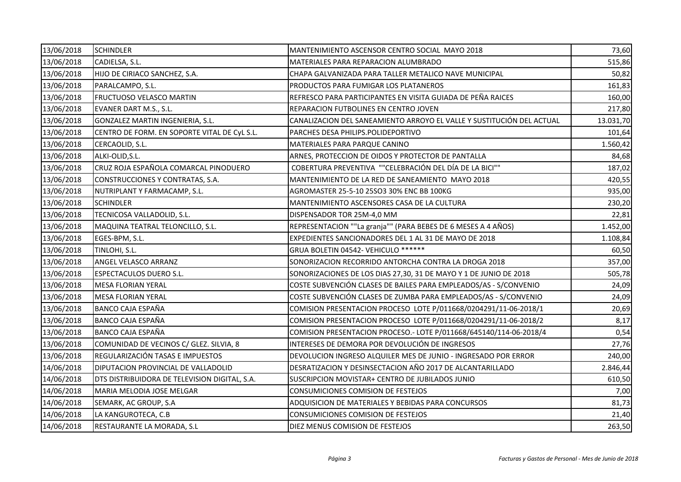| 13/06/2018 | <b>SCHINDLER</b>                              | MANTENIMIENTO ASCENSOR CENTRO SOCIAL MAYO 2018                        | 73,60     |
|------------|-----------------------------------------------|-----------------------------------------------------------------------|-----------|
| 13/06/2018 | CADIELSA, S.L.                                | MATERIALES PARA REPARACION ALUMBRADO                                  | 515,86    |
| 13/06/2018 | HIJO DE CIRIACO SANCHEZ, S.A.                 | CHAPA GALVANIZADA PARA TALLER METALICO NAVE MUNICIPAL                 | 50,82     |
| 13/06/2018 | PARALCAMPO, S.L.                              | PRODUCTOS PARA FUMIGAR LOS PLATANEROS                                 | 161,83    |
| 13/06/2018 | <b>FRUCTUOSO VELASCO MARTIN</b>               | REFRESCO PARA PARTICIPANTES EN VISITA GUIADA DE PEÑA RAICES           | 160,00    |
| 13/06/2018 | EVANER DART M.S., S.L.                        | REPARACION FUTBOLINES EN CENTRO JOVEN                                 | 217,80    |
| 13/06/2018 | GONZALEZ MARTIN INGENIERIA, S.L.              | CANALIZACION DEL SANEAMIENTO ARROYO EL VALLE Y SUSTITUCIÓN DEL ACTUAL | 13.031,70 |
| 13/06/2018 | CENTRO DE FORM. EN SOPORTE VITAL DE CyL S.L.  | PARCHES DESA PHILIPS.POLIDEPORTIVO                                    | 101,64    |
| 13/06/2018 | CERCAOLID, S.L.                               | MATERIALES PARA PARQUE CANINO                                         | 1.560,42  |
| 13/06/2018 | ALKI-OLID, S.L.                               | ARNES, PROTECCION DE OIDOS Y PROTECTOR DE PANTALLA                    | 84,68     |
| 13/06/2018 | CRUZ ROJA ESPAÑOLA COMARCAL PINODUERO         | COBERTURA PREVENTIVA ""CELEBRACIÓN DEL DÍA DE LA BICI""               | 187,02    |
| 13/06/2018 | CONSTRUCCIONES Y CONTRATAS, S.A.              | MANTENIMIENTO DE LA RED DE SANEAMIENTO MAYO 2018                      | 420,55    |
| 13/06/2018 | NUTRIPLANT Y FARMACAMP, S.L.                  | AGROMASTER 25-5-10 25SO3 30% ENC BB 100KG                             | 935,00    |
| 13/06/2018 | <b>SCHINDLER</b>                              | MANTENIMIENTO ASCENSORES CASA DE LA CULTURA                           | 230,20    |
| 13/06/2018 | TECNICOSA VALLADOLID, S.L.                    | DISPENSADOR TOR 25M-4,0 MM                                            | 22,81     |
| 13/06/2018 | MAQUINA TEATRAL TELONCILLO, S.L.              | REPRESENTACION ""La granja"" (PARA BEBES DE 6 MESES A 4 AÑOS)         | 1.452,00  |
| 13/06/2018 | EGES-BPM, S.L.                                | EXPEDIENTES SANCIONADORES DEL 1 AL 31 DE MAYO DE 2018                 | 1.108,84  |
| 13/06/2018 | TINLOHI, S.L.                                 | GRUA BOLETIN 04542- VEHICULO ******                                   | 60,50     |
| 13/06/2018 | ANGEL VELASCO ARRANZ                          | SONORIZACION RECORRIDO ANTORCHA CONTRA LA DROGA 2018                  | 357,00    |
| 13/06/2018 | <b>ESPECTACULOS DUERO S.L.</b>                | SONORIZACIONES DE LOS DIAS 27,30, 31 DE MAYO Y 1 DE JUNIO DE 2018     | 505,78    |
| 13/06/2018 | <b>MESA FLORIAN YERAL</b>                     | COSTE SUBVENCIÓN CLASES DE BAILES PARA EMPLEADOS/AS - S/CONVENIO      | 24,09     |
| 13/06/2018 | <b>MESA FLORIAN YERAL</b>                     | COSTE SUBVENCIÓN CLASES DE ZUMBA PARA EMPLEADOS/AS - S/CONVENIO       | 24,09     |
| 13/06/2018 | BANCO CAJA ESPAÑA                             | COMISION PRESENTACION PROCESO LOTE P/011668/0204291/11-06-2018/1      | 20,69     |
| 13/06/2018 | <b>BANCO CAJA ESPAÑA</b>                      | COMISION PRESENTACION PROCESO LOTE P/011668/0204291/11-06-2018/2      | 8,17      |
| 13/06/2018 | <b>BANCO CAJA ESPAÑA</b>                      | COMISION PRESENTACION PROCESO. - LOTE P/011668/645140/114-06-2018/4   | 0,54      |
| 13/06/2018 | COMUNIDAD DE VECINOS C/ GLEZ. SILVIA, 8       | INTERESES DE DEMORA POR DEVOLUCIÓN DE INGRESOS                        | 27,76     |
| 13/06/2018 | REGULARIZACIÓN TASAS E IMPUESTOS              | DEVOLUCION INGRESO ALQUILER MES DE JUNIO - INGRESADO POR ERROR        | 240,00    |
| 14/06/2018 | DIPUTACION PROVINCIAL DE VALLADOLID           | DESRATIZACION Y DESINSECTACION AÑO 2017 DE ALCANTARILLADO             | 2.846,44  |
| 14/06/2018 | DTS DISTRIBUIDORA DE TELEVISION DIGITAL, S.A. | SUSCRIPCION MOVISTAR+ CENTRO DE JUBILADOS JUNIO                       | 610,50    |
| 14/06/2018 | MARIA MELODIA JOSE MELGAR                     | CONSUMICIONES COMISION DE FESTEJOS                                    | 7,00      |
| 14/06/2018 | SEMARK, AC GROUP, S.A                         | ADQUISICION DE MATERIALES Y BEBIDAS PARA CONCURSOS                    | 81,73     |
| 14/06/2018 | LA KANGUROTECA, C.B                           | CONSUMICIONES COMISION DE FESTEJOS                                    | 21,40     |
| 14/06/2018 | RESTAURANTE LA MORADA, S.L                    | DIEZ MENUS COMISION DE FESTEJOS                                       | 263,50    |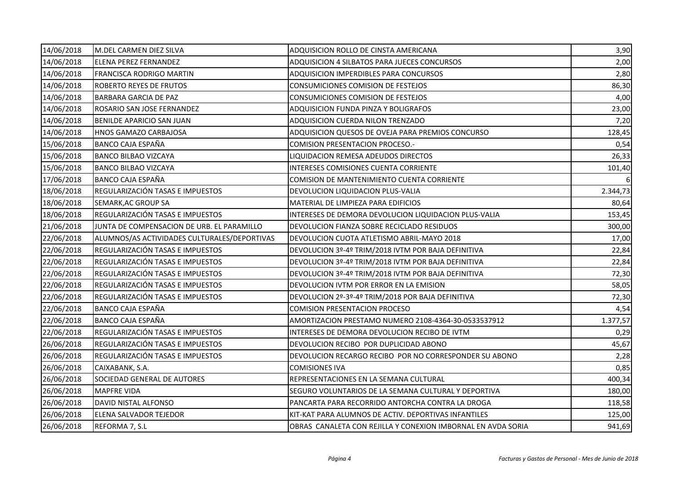| 14/06/2018 | M.DEL CARMEN DIEZ SILVA                      | ADQUISICION ROLLO DE CINSTA AMERICANA                        | 3,90     |
|------------|----------------------------------------------|--------------------------------------------------------------|----------|
| 14/06/2018 | ELENA PEREZ FERNANDEZ                        | ADQUISICION 4 SILBATOS PARA JUECES CONCURSOS                 | 2,00     |
| 14/06/2018 | FRANCISCA RODRIGO MARTIN                     | ADQUISICION IMPERDIBLES PARA CONCURSOS                       | 2,80     |
| 14/06/2018 | ROBERTO REYES DE FRUTOS                      | CONSUMICIONES COMISION DE FESTEJOS                           | 86,30    |
| 14/06/2018 | <b>BARBARA GARCIA DE PAZ</b>                 | CONSUMICIONES COMISION DE FESTEJOS                           | 4,00     |
| 14/06/2018 | ROSARIO SAN JOSE FERNANDEZ                   | ADQUISICION FUNDA PINZA Y BOLIGRAFOS                         | 23,00    |
| 14/06/2018 | BENILDE APARICIO SAN JUAN                    | ADQUISICION CUERDA NILON TRENZADO                            | 7,20     |
| 14/06/2018 | HNOS GAMAZO CARBAJOSA                        | ADQUISICION QUESOS DE OVEJA PARA PREMIOS CONCURSO            | 128,45   |
| 15/06/2018 | <b>BANCO CAJA ESPAÑA</b>                     | <b>COMISION PRESENTACION PROCESO.-</b>                       | 0,54     |
| 15/06/2018 | <b>BANCO BILBAO VIZCAYA</b>                  | LIQUIDACION REMESA ADEUDOS DIRECTOS                          | 26,33    |
| 15/06/2018 | <b>BANCO BILBAO VIZCAYA</b>                  | INTERESES COMISIONES CUENTA CORRIENTE                        | 101,40   |
| 17/06/2018 | BANCO CAJA ESPAÑA                            | COMISION DE MANTENIMIENTO CUENTA CORRIENTE                   |          |
| 18/06/2018 | REGULARIZACIÓN TASAS E IMPUESTOS             | DEVOLUCION LIQUIDACION PLUS-VALIA                            | 2.344,73 |
| 18/06/2018 | SEMARK, AC GROUP SA                          | MATERIAL DE LIMPIEZA PARA EDIFICIOS                          | 80,64    |
| 18/06/2018 | REGULARIZACIÓN TASAS E IMPUESTOS             | INTERESES DE DEMORA DEVOLUCION LIQUIDACION PLUS-VALIA        | 153,45   |
| 21/06/2018 | JUNTA DE COMPENSACION DE URB. EL PARAMILLO   | DEVOLUCION FIANZA SOBRE RECICLADO RESIDUOS                   | 300,00   |
| 22/06/2018 | ALUMNOS/AS ACTIVIDADES CULTURALES/DEPORTIVAS | DEVOLUCION CUOTA ATLETISMO ABRIL-MAYO 2018                   | 17,00    |
| 22/06/2018 | REGULARIZACIÓN TASAS E IMPUESTOS             | DEVOLUCION 3º-4º TRIM/2018 IVTM POR BAJA DEFINITIVA          | 22,84    |
| 22/06/2018 | REGULARIZACIÓN TASAS E IMPUESTOS             | DEVOLUCION 3º-4º TRIM/2018 IVTM POR BAJA DEFINITIVA          | 22,84    |
| 22/06/2018 | REGULARIZACIÓN TASAS E IMPUESTOS             | DEVOLUCION 3º-4º TRIM/2018 IVTM POR BAJA DEFINITIVA          | 72,30    |
| 22/06/2018 | REGULARIZACIÓN TASAS E IMPUESTOS             | DEVOLUCION IVTM POR ERROR EN LA EMISION                      | 58,05    |
| 22/06/2018 | REGULARIZACIÓN TASAS E IMPUESTOS             | DEVOLUCION 2º-3º-4º TRIM/2018 POR BAJA DEFINITIVA            | 72,30    |
| 22/06/2018 | BANCO CAJA ESPAÑA                            | COMISION PRESENTACION PROCESO                                | 4,54     |
| 22/06/2018 | <b>BANCO CAJA ESPAÑA</b>                     | AMORTIZACION PRESTAMO NUMERO 2108-4364-30-0533537912         | 1.377,57 |
| 22/06/2018 | REGULARIZACIÓN TASAS E IMPUESTOS             | INTERESES DE DEMORA DEVOLUCION RECIBO DE IVTM                | 0,29     |
| 26/06/2018 | REGULARIZACIÓN TASAS E IMPUESTOS             | DEVOLUCION RECIBO POR DUPLICIDAD ABONO                       | 45,67    |
| 26/06/2018 | REGULARIZACIÓN TASAS E IMPUESTOS             | DEVOLUCION RECARGO RECIBO POR NO CORRESPONDER SU ABONO       | 2,28     |
| 26/06/2018 | CAIXABANK, S.A.                              | <b>COMISIONES IVA</b>                                        | 0,85     |
| 26/06/2018 | SOCIEDAD GENERAL DE AUTORES                  | REPRESENTACIONES EN LA SEMANA CULTURAL                       | 400,34   |
| 26/06/2018 | <b>MAPFRE VIDA</b>                           | SEGURO VOLUNTARIOS DE LA SEMANA CULTURAL Y DEPORTIVA         | 180,00   |
| 26/06/2018 | DAVID NISTAL ALFONSO                         | PANCARTA PARA RECORRIDO ANTORCHA CONTRA LA DROGA             | 118,58   |
| 26/06/2018 | ELENA SALVADOR TEJEDOR                       | KIT-KAT PARA ALUMNOS DE ACTIV. DEPORTIVAS INFANTILES         | 125,00   |
| 26/06/2018 | REFORMA 7, S.L                               | OBRAS CANALETA CON REJILLA Y CONEXION IMBORNAL EN AVDA SORIA | 941,69   |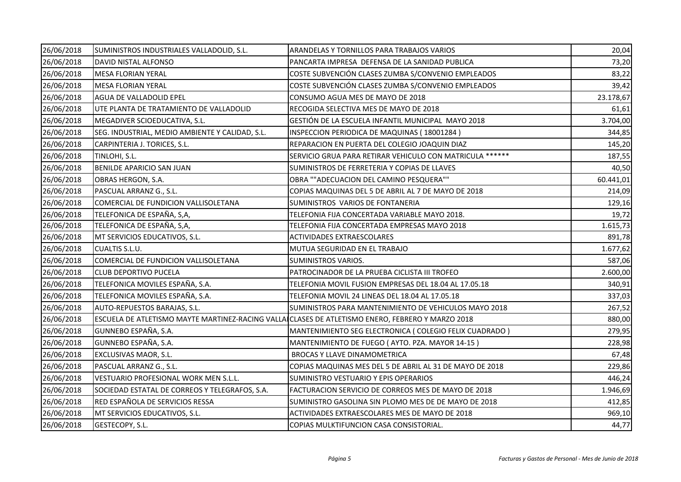| 26/06/2018 | SUMINISTROS INDUSTRIALES VALLADOLID, S.L.                                                        | ARANDELAS Y TORNILLOS PARA TRABAJOS VARIOS               | 20,04     |
|------------|--------------------------------------------------------------------------------------------------|----------------------------------------------------------|-----------|
| 26/06/2018 | DAVID NISTAL ALFONSO                                                                             | PANCARTA IMPRESA DEFENSA DE LA SANIDAD PUBLICA           | 73,20     |
| 26/06/2018 | <b>MESA FLORIAN YERAL</b>                                                                        | COSTE SUBVENCIÓN CLASES ZUMBA S/CONVENIO EMPLEADOS       | 83,22     |
| 26/06/2018 | <b>MESA FLORIAN YERAL</b>                                                                        | COSTE SUBVENCIÓN CLASES ZUMBA S/CONVENIO EMPLEADOS       | 39,42     |
| 26/06/2018 | AGUA DE VALLADOLID EPEL                                                                          | CONSUMO AGUA MES DE MAYO DE 2018                         | 23.178,67 |
| 26/06/2018 | UTE PLANTA DE TRATAMIENTO DE VALLADOLID                                                          | RECOGIDA SELECTIVA MES DE MAYO DE 2018                   | 61,61     |
| 26/06/2018 | MEGADIVER SCIOEDUCATIVA, S.L.                                                                    | GESTIÓN DE LA ESCUELA INFANTIL MUNICIPAL MAYO 2018       | 3.704,00  |
| 26/06/2018 | SEG. INDUSTRIAL, MEDIO AMBIENTE Y CALIDAD, S.L.                                                  | INSPECCION PERIODICA DE MAQUINAS (18001284)              | 344,85    |
| 26/06/2018 | CARPINTERIA J. TORICES, S.L.                                                                     | REPARACION EN PUERTA DEL COLEGIO JOAQUIN DIAZ            | 145,20    |
| 26/06/2018 | TINLOHI, S.L.                                                                                    | SERVICIO GRUA PARA RETIRAR VEHICULO CON MATRICULA ****** | 187,55    |
| 26/06/2018 | BENILDE APARICIO SAN JUAN                                                                        | SUMINISTROS DE FERRETERIA Y COPIAS DE LLAVES             | 40,50     |
| 26/06/2018 | OBRAS HERGON, S.A.                                                                               | OBRA ""ADECUACION DEL CAMINO PESQUERA""                  | 60.441,01 |
| 26/06/2018 | PASCUAL ARRANZ G., S.L.                                                                          | COPIAS MAQUINAS DEL 5 DE ABRIL AL 7 DE MAYO DE 2018      | 214,09    |
| 26/06/2018 | COMERCIAL DE FUNDICION VALLISOLETANA                                                             | SUMINISTROS VARIOS DE FONTANERIA                         | 129,16    |
| 26/06/2018 | TELEFONICA DE ESPAÑA, S,A,                                                                       | TELEFONIA FIJA CONCERTADA VARIABLE MAYO 2018.            | 19,72     |
| 26/06/2018 | TELEFONICA DE ESPAÑA, S,A,                                                                       | TELEFONIA FIJA CONCERTADA EMPRESAS MAYO 2018             | 1.615,73  |
| 26/06/2018 | MT SERVICIOS EDUCATIVOS, S.L.                                                                    | ACTIVIDADES EXTRAESCOLARES                               | 891,78    |
| 26/06/2018 | <b>CUALTIS S.L.U.</b>                                                                            | MUTUA SEGURIDAD EN EL TRABAJO                            | 1.677,62  |
| 26/06/2018 | COMERCIAL DE FUNDICION VALLISOLETANA                                                             | SUMINISTROS VARIOS.                                      | 587,06    |
| 26/06/2018 | <b>CLUB DEPORTIVO PUCELA</b>                                                                     | PATROCINADOR DE LA PRUEBA CICLISTA III TROFEO            | 2.600,00  |
| 26/06/2018 | TELEFONICA MOVILES ESPAÑA, S.A.                                                                  | TELEFONIA MOVIL FUSION EMPRESAS DEL 18.04 AL 17.05.18    | 340,91    |
| 26/06/2018 | TELEFONICA MOVILES ESPAÑA, S.A.                                                                  | TELEFONIA MOVIL 24 LINEAS DEL 18.04 AL 17.05.18          | 337,03    |
| 26/06/2018 | AUTO-REPUESTOS BARAJAS, S.L.                                                                     | SUMINISTROS PARA MANTENIMIENTO DE VEHICULOS MAYO 2018    | 267,52    |
| 26/06/2018 | ESCUELA DE ATLETISMO MAYTE MARTINEZ-RACING VALLA CLASES DE ATLETISMO ENERO, FEBRERO Y MARZO 2018 |                                                          | 880,00    |
| 26/06/2018 | GUNNEBO ESPAÑA, S.A.                                                                             | MANTENIMIENTO SEG ELECTRONICA (COLEGIO FELIX CUADRADO)   | 279,95    |
| 26/06/2018 | GUNNEBO ESPAÑA, S.A.                                                                             | MANTENIMIENTO DE FUEGO (AYTO. PZA. MAYOR 14-15)          | 228,98    |
| 26/06/2018 | EXCLUSIVAS MAOR, S.L.                                                                            | <b>BROCAS Y LLAVE DINAMOMETRICA</b>                      | 67,48     |
| 26/06/2018 | PASCUAL ARRANZ G., S.L.                                                                          | COPIAS MAQUINAS MES DEL 5 DE ABRIL AL 31 DE MAYO DE 2018 | 229,86    |
| 26/06/2018 | VESTUARIO PROFESIONAL WORK MEN S.L.L.                                                            | SUMINISTRO VESTUARIO Y EPIS OPERARIOS                    | 446,24    |
| 26/06/2018 | SOCIEDAD ESTATAL DE CORREOS Y TELEGRAFOS, S.A.                                                   | FACTURACION SERVICIO DE CORREOS MES DE MAYO DE 2018      | 1.946,69  |
| 26/06/2018 | RED ESPAÑOLA DE SERVICIOS RESSA                                                                  | SUMINISTRO GASOLINA SIN PLOMO MES DE DE MAYO DE 2018     | 412,85    |
| 26/06/2018 | MT SERVICIOS EDUCATIVOS, S.L.                                                                    | ACTIVIDADES EXTRAESCOLARES MES DE MAYO DE 2018           | 969,10    |
| 26/06/2018 | GESTECOPY, S.L.                                                                                  | COPIAS MULKTIFUNCION CASA CONSISTORIAL.                  | 44,77     |